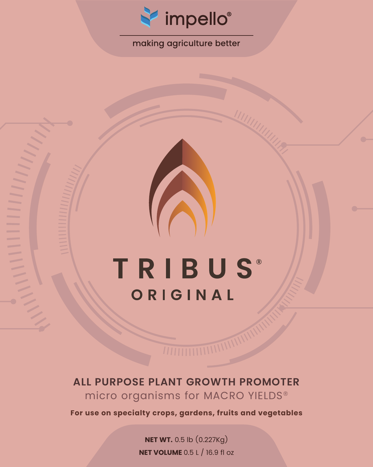

# making agriculture better

# **TRIBUS®** ORIGINAL

# **ALL PURPOSE PLANT GROWTH PROMOTER** micro organisms for MACRO YIELDS®

**For use on specialty crops, gardens, fruits and vegetables**

**NET WT.** 0.5 lb (0.227Kg) **NET VOLUME** 0.5 L / 16.9 fl oz